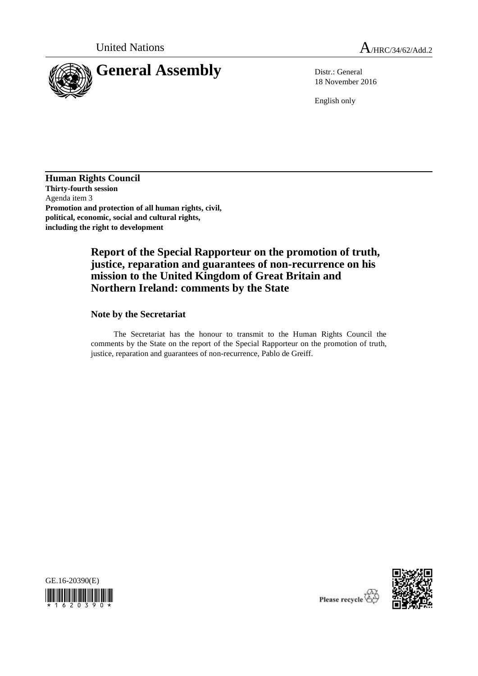

18 November 2016

English only

**Human Rights Council Thirty-fourth session** Agenda item 3 **Promotion and protection of all human rights, civil, political, economic, social and cultural rights, including the right to development**

# **Report of the Special Rapporteur on the promotion of truth, justice, reparation and guarantees of non-recurrence on his mission to the United Kingdom of Great Britain and Northern Ireland: comments by the State**

### **Note by the Secretariat**

The Secretariat has the honour to transmit to the Human Rights Council the comments by the State on the report of the Special Rapporteur on the promotion of truth, justice, reparation and guarantees of non-recurrence, Pablo de Greiff.





Please recycle  $\overleftrightarrow{C}$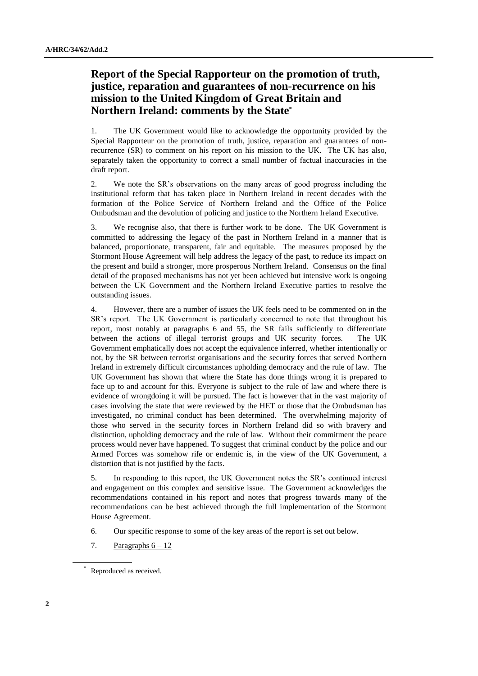## **Report of the Special Rapporteur on the promotion of truth, justice, reparation and guarantees of non-recurrence on his mission to the United Kingdom of Great Britain and Northern Ireland: comments by the State\***

1. The UK Government would like to acknowledge the opportunity provided by the Special Rapporteur on the promotion of truth, justice, reparation and guarantees of nonrecurrence (SR) to comment on his report on his mission to the UK. The UK has also, separately taken the opportunity to correct a small number of factual inaccuracies in the draft report.

2. We note the SR's observations on the many areas of good progress including the institutional reform that has taken place in Northern Ireland in recent decades with the formation of the Police Service of Northern Ireland and the Office of the Police Ombudsman and the devolution of policing and justice to the Northern Ireland Executive.

3. We recognise also, that there is further work to be done. The UK Government is committed to addressing the legacy of the past in Northern Ireland in a manner that is balanced, proportionate, transparent, fair and equitable. The measures proposed by the Stormont House Agreement will help address the legacy of the past, to reduce its impact on the present and build a stronger, more prosperous Northern Ireland. Consensus on the final detail of the proposed mechanisms has not yet been achieved but intensive work is ongoing between the UK Government and the Northern Ireland Executive parties to resolve the outstanding issues.

4. However, there are a number of issues the UK feels need to be commented on in the SR's report. The UK Government is particularly concerned to note that throughout his report, most notably at paragraphs 6 and 55, the SR fails sufficiently to differentiate between the actions of illegal terrorist groups and UK security forces. The UK Government emphatically does not accept the equivalence inferred, whether intentionally or not, by the SR between terrorist organisations and the security forces that served Northern Ireland in extremely difficult circumstances upholding democracy and the rule of law. The UK Government has shown that where the State has done things wrong it is prepared to face up to and account for this. Everyone is subject to the rule of law and where there is evidence of wrongdoing it will be pursued. The fact is however that in the vast majority of cases involving the state that were reviewed by the HET or those that the Ombudsman has investigated, no criminal conduct has been determined. The overwhelming majority of those who served in the security forces in Northern Ireland did so with bravery and distinction, upholding democracy and the rule of law. Without their commitment the peace process would never have happened. To suggest that criminal conduct by the police and our Armed Forces was somehow rife or endemic is, in the view of the UK Government, a distortion that is not justified by the facts.

5. In responding to this report, the UK Government notes the SR's continued interest and engagement on this complex and sensitive issue. The Government acknowledges the recommendations contained in his report and notes that progress towards many of the recommendations can be best achieved through the full implementation of the Stormont House Agreement.

- 6. Our specific response to some of the key areas of the report is set out below.
- 7. Paragraphs  $6 12$

<sup>\*</sup> Reproduced as received.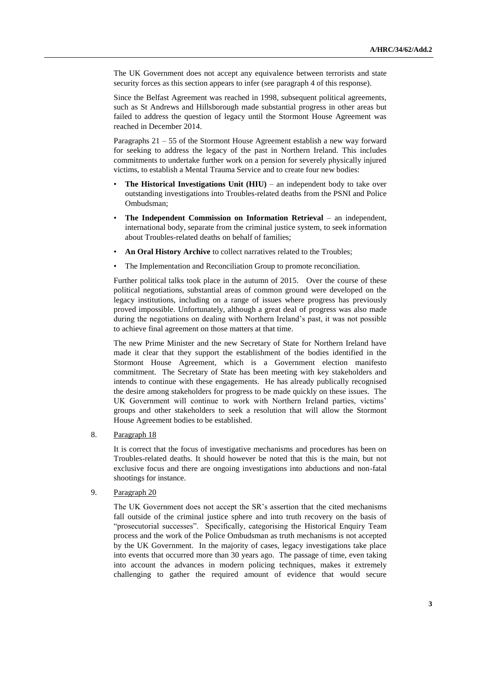The UK Government does not accept any equivalence between terrorists and state security forces as this section appears to infer (see paragraph 4 of this response).

Since the Belfast Agreement was reached in 1998, subsequent political agreements, such as St Andrews and Hillsborough made substantial progress in other areas but failed to address the question of legacy until the Stormont House Agreement was reached in December 2014.

Paragraphs 21 – 55 of the Stormont House Agreement establish a new way forward for seeking to address the legacy of the past in Northern Ireland. This includes commitments to undertake further work on a pension for severely physically injured victims, to establish a Mental Trauma Service and to create four new bodies:

- **The Historical Investigations Unit (HIU)** an independent body to take over outstanding investigations into Troubles-related deaths from the PSNI and Police Ombudsman;
- **The Independent Commission on Information Retrieval** an independent, international body, separate from the criminal justice system, to seek information about Troubles-related deaths on behalf of families;
- An Oral History Archive to collect narratives related to the Troubles;
- The Implementation and Reconciliation Group to promote reconciliation.

Further political talks took place in the autumn of 2015. Over the course of these political negotiations, substantial areas of common ground were developed on the legacy institutions, including on a range of issues where progress has previously proved impossible. Unfortunately, although a great deal of progress was also made during the negotiations on dealing with Northern Ireland's past, it was not possible to achieve final agreement on those matters at that time.

The new Prime Minister and the new Secretary of State for Northern Ireland have made it clear that they support the establishment of the bodies identified in the Stormont House Agreement, which is a Government election manifesto commitment. The Secretary of State has been meeting with key stakeholders and intends to continue with these engagements. He has already publically recognised the desire among stakeholders for progress to be made quickly on these issues. The UK Government will continue to work with Northern Ireland parties, victims' groups and other stakeholders to seek a resolution that will allow the Stormont House Agreement bodies to be established.

#### 8. Paragraph 18

It is correct that the focus of investigative mechanisms and procedures has been on Troubles-related deaths. It should however be noted that this is the main, but not exclusive focus and there are ongoing investigations into abductions and non-fatal shootings for instance.

### 9. Paragraph 20

The UK Government does not accept the SR's assertion that the cited mechanisms fall outside of the criminal justice sphere and into truth recovery on the basis of "prosecutorial successes". Specifically, categorising the Historical Enquiry Team process and the work of the Police Ombudsman as truth mechanisms is not accepted by the UK Government. In the majority of cases, legacy investigations take place into events that occurred more than 30 years ago. The passage of time, even taking into account the advances in modern policing techniques, makes it extremely challenging to gather the required amount of evidence that would secure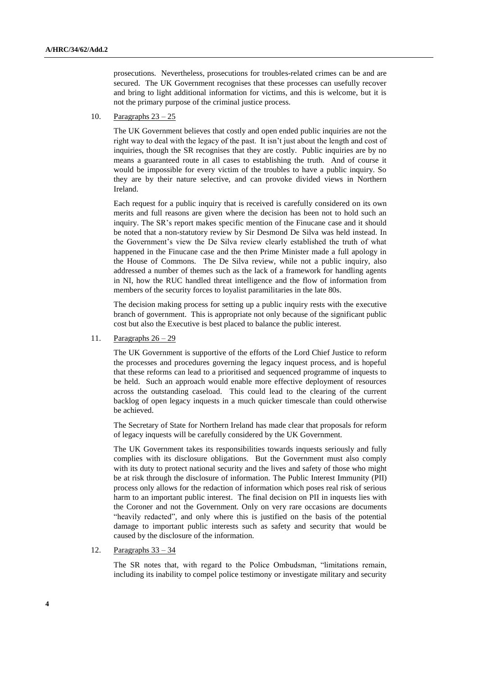prosecutions. Nevertheless, prosecutions for troubles-related crimes can be and are secured. The UK Government recognises that these processes can usefully recover and bring to light additional information for victims, and this is welcome, but it is not the primary purpose of the criminal justice process.

10. Paragraphs 23 – 25

The UK Government believes that costly and open ended public inquiries are not the right way to deal with the legacy of the past. It isn't just about the length and cost of inquiries, though the SR recognises that they are costly. Public inquiries are by no means a guaranteed route in all cases to establishing the truth. And of course it would be impossible for every victim of the troubles to have a public inquiry. So they are by their nature selective, and can provoke divided views in Northern Ireland.

Each request for a public inquiry that is received is carefully considered on its own merits and full reasons are given where the decision has been not to hold such an inquiry. The SR's report makes specific mention of the Finucane case and it should be noted that a non-statutory review by Sir Desmond De Silva was held instead. In the Government's view the De Silva review clearly established the truth of what happened in the Finucane case and the then Prime Minister made a full apology in the House of Commons. The De Silva review, while not a public inquiry, also addressed a number of themes such as the lack of a framework for handling agents in NI, how the RUC handled threat intelligence and the flow of information from members of the security forces to loyalist paramilitaries in the late 80s.

The decision making process for setting up a public inquiry rests with the executive branch of government. This is appropriate not only because of the significant public cost but also the Executive is best placed to balance the public interest.

11. Paragraphs  $26 - 29$ 

The UK Government is supportive of the efforts of the Lord Chief Justice to reform the processes and procedures governing the legacy inquest process, and is hopeful that these reforms can lead to a prioritised and sequenced programme of inquests to be held. Such an approach would enable more effective deployment of resources across the outstanding caseload. This could lead to the clearing of the current backlog of open legacy inquests in a much quicker timescale than could otherwise be achieved.

The Secretary of State for Northern Ireland has made clear that proposals for reform of legacy inquests will be carefully considered by the UK Government.

The UK Government takes its responsibilities towards inquests seriously and fully complies with its disclosure obligations. But the Government must also comply with its duty to protect national security and the lives and safety of those who might be at risk through the disclosure of information. The Public Interest Immunity (PII) process only allows for the redaction of information which poses real risk of serious harm to an important public interest. The final decision on PII in inquests lies with the Coroner and not the Government. Only on very rare occasions are documents "heavily redacted", and only where this is justified on the basis of the potential damage to important public interests such as safety and security that would be caused by the disclosure of the information.

12. Paragraphs 33 – 34

The SR notes that, with regard to the Police Ombudsman, "limitations remain, including its inability to compel police testimony or investigate military and security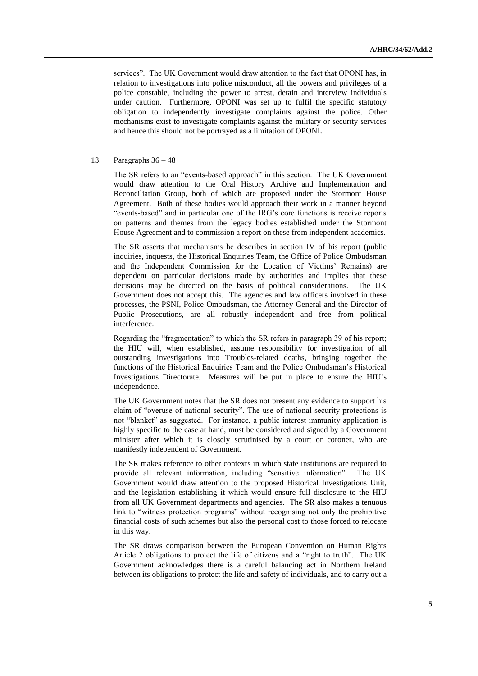services". The UK Government would draw attention to the fact that OPONI has, in relation to investigations into police misconduct, all the powers and privileges of a police constable, including the power to arrest, detain and interview individuals under caution. Furthermore, OPONI was set up to fulfil the specific statutory obligation to independently investigate complaints against the police. Other mechanisms exist to investigate complaints against the military or security services and hence this should not be portrayed as a limitation of OPONI.

#### 13. Paragraphs  $36 - 48$

The SR refers to an "events-based approach" in this section. The UK Government would draw attention to the Oral History Archive and Implementation and Reconciliation Group, both of which are proposed under the Stormont House Agreement. Both of these bodies would approach their work in a manner beyond "events-based" and in particular one of the IRG's core functions is receive reports on patterns and themes from the legacy bodies established under the Stormont House Agreement and to commission a report on these from independent academics.

The SR asserts that mechanisms he describes in section IV of his report (public inquiries, inquests, the Historical Enquiries Team, the Office of Police Ombudsman and the Independent Commission for the Location of Victims' Remains) are dependent on particular decisions made by authorities and implies that these decisions may be directed on the basis of political considerations. The UK Government does not accept this. The agencies and law officers involved in these processes, the PSNI, Police Ombudsman, the Attorney General and the Director of Public Prosecutions, are all robustly independent and free from political interference.

Regarding the "fragmentation" to which the SR refers in paragraph 39 of his report; the HIU will, when established, assume responsibility for investigation of all outstanding investigations into Troubles-related deaths, bringing together the functions of the Historical Enquiries Team and the Police Ombudsman's Historical Investigations Directorate. Measures will be put in place to ensure the HIU's independence.

The UK Government notes that the SR does not present any evidence to support his claim of "overuse of national security". The use of national security protections is not "blanket" as suggested. For instance, a public interest immunity application is highly specific to the case at hand, must be considered and signed by a Government minister after which it is closely scrutinised by a court or coroner, who are manifestly independent of Government.

The SR makes reference to other contexts in which state institutions are required to provide all relevant information, including "sensitive information". The UK Government would draw attention to the proposed Historical Investigations Unit, and the legislation establishing it which would ensure full disclosure to the HIU from all UK Government departments and agencies. The SR also makes a tenuous link to "witness protection programs" without recognising not only the prohibitive financial costs of such schemes but also the personal cost to those forced to relocate in this way.

The SR draws comparison between the European Convention on Human Rights Article 2 obligations to protect the life of citizens and a "right to truth". The UK Government acknowledges there is a careful balancing act in Northern Ireland between its obligations to protect the life and safety of individuals, and to carry out a